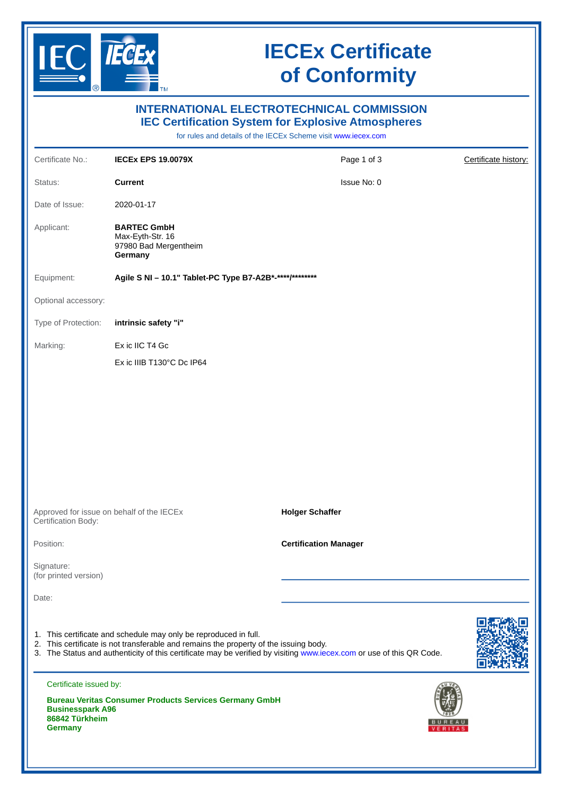

## **IECEx Certificate of Conformity**

| <b>INTERNATIONAL ELECTROTECHNICAL COMMISSION</b><br><b>IEC Certification System for Explosive Atmospheres</b><br>for rules and details of the IECEx Scheme visit www.iecex.com                                                                                                    |                                                                            |                              |                      |  |
|-----------------------------------------------------------------------------------------------------------------------------------------------------------------------------------------------------------------------------------------------------------------------------------|----------------------------------------------------------------------------|------------------------------|----------------------|--|
| Certificate No.:                                                                                                                                                                                                                                                                  | <b>IECEX EPS 19.0079X</b>                                                  | Page 1 of 3                  | Certificate history: |  |
| Status:                                                                                                                                                                                                                                                                           | <b>Current</b>                                                             | Issue No: 0                  |                      |  |
| Date of Issue:                                                                                                                                                                                                                                                                    | 2020-01-17                                                                 |                              |                      |  |
| Applicant:                                                                                                                                                                                                                                                                        | <b>BARTEC GmbH</b><br>Max-Eyth-Str. 16<br>97980 Bad Mergentheim<br>Germany |                              |                      |  |
| Equipment:                                                                                                                                                                                                                                                                        | Agile S NI - 10.1" Tablet-PC Type B7-A2B*-****/********                    |                              |                      |  |
| Optional accessory:                                                                                                                                                                                                                                                               |                                                                            |                              |                      |  |
| Type of Protection:                                                                                                                                                                                                                                                               | intrinsic safety "i"                                                       |                              |                      |  |
| Marking:                                                                                                                                                                                                                                                                          | Ex ic IIC T4 Gc                                                            |                              |                      |  |
|                                                                                                                                                                                                                                                                                   | Ex ic IIIB T130°C Dc IP64                                                  |                              |                      |  |
| Approved for issue on behalf of the IECEx<br>Certification Body:                                                                                                                                                                                                                  |                                                                            | <b>Holger Schaffer</b>       |                      |  |
| Position:                                                                                                                                                                                                                                                                         |                                                                            | <b>Certification Manager</b> |                      |  |
| Signature:<br>(for printed version)                                                                                                                                                                                                                                               |                                                                            |                              |                      |  |
| Date:                                                                                                                                                                                                                                                                             |                                                                            |                              |                      |  |
| 1. This certificate and schedule may only be reproduced in full.<br>2. This certificate is not transferable and remains the property of the issuing body.<br>3. The Status and authenticity of this certificate may be verified by visiting www.iecex.com or use of this QR Code. |                                                                            |                              |                      |  |
| Certificate issued by:<br><b>Bureau Veritas Consumer Products Services Germany GmbH</b><br><b>Businesspark A96</b><br>86842 Türkheim<br><b>Germany</b>                                                                                                                            |                                                                            |                              |                      |  |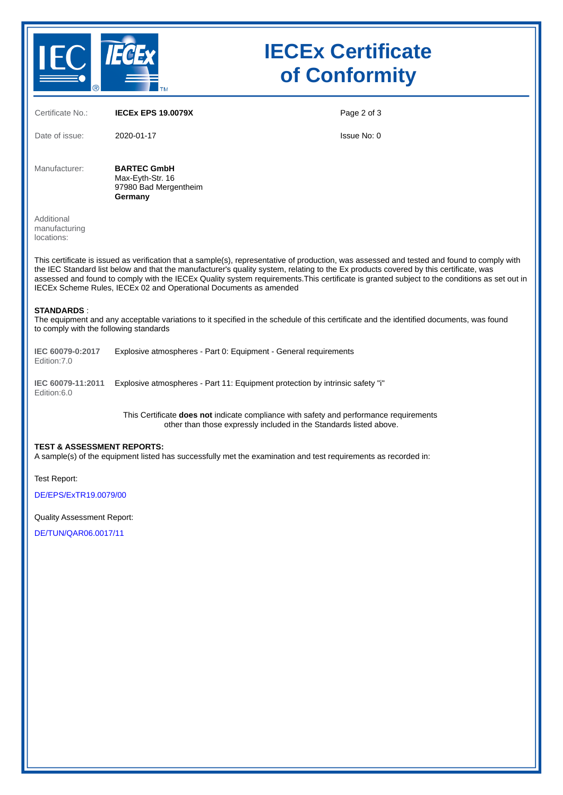

# **IECEx Certificate of Conformity**

| Certificate No.:                                                                                                                                                                                                                                                                                                                                                                                                                                                                                         | <b>IECEX EPS 19.0079X</b>                                                                                                                                    | Page 2 of 3 |  |  |
|----------------------------------------------------------------------------------------------------------------------------------------------------------------------------------------------------------------------------------------------------------------------------------------------------------------------------------------------------------------------------------------------------------------------------------------------------------------------------------------------------------|--------------------------------------------------------------------------------------------------------------------------------------------------------------|-------------|--|--|
| Date of issue:                                                                                                                                                                                                                                                                                                                                                                                                                                                                                           | 2020-01-17                                                                                                                                                   | Issue No: 0 |  |  |
| Manufacturer:                                                                                                                                                                                                                                                                                                                                                                                                                                                                                            | <b>BARTEC GmbH</b><br>Max-Eyth-Str. 16<br>97980 Bad Mergentheim<br>Germany                                                                                   |             |  |  |
| Additional<br>manufacturing<br>locations:                                                                                                                                                                                                                                                                                                                                                                                                                                                                |                                                                                                                                                              |             |  |  |
| This certificate is issued as verification that a sample(s), representative of production, was assessed and tested and found to comply with<br>the IEC Standard list below and that the manufacturer's quality system, relating to the Ex products covered by this certificate, was<br>assessed and found to comply with the IECEx Quality system requirements. This certificate is granted subject to the conditions as set out in<br>IECEx Scheme Rules, IECEx 02 and Operational Documents as amended |                                                                                                                                                              |             |  |  |
| <b>STANDARDS:</b><br>The equipment and any acceptable variations to it specified in the schedule of this certificate and the identified documents, was found<br>to comply with the following standards                                                                                                                                                                                                                                                                                                   |                                                                                                                                                              |             |  |  |
| IEC 60079-0:2017<br>Edition: 7.0                                                                                                                                                                                                                                                                                                                                                                                                                                                                         | Explosive atmospheres - Part 0: Equipment - General requirements                                                                                             |             |  |  |
| IEC 60079-11:2011<br>Edition:6.0                                                                                                                                                                                                                                                                                                                                                                                                                                                                         | Explosive atmospheres - Part 11: Equipment protection by intrinsic safety "i"                                                                                |             |  |  |
|                                                                                                                                                                                                                                                                                                                                                                                                                                                                                                          | This Certificate does not indicate compliance with safety and performance requirements<br>other than those expressly included in the Standards listed above. |             |  |  |
| <b>TEST &amp; ASSESSMENT REPORTS:</b><br>A sample(s) of the equipment listed has successfully met the examination and test requirements as recorded in:                                                                                                                                                                                                                                                                                                                                                  |                                                                                                                                                              |             |  |  |
| Test Report:                                                                                                                                                                                                                                                                                                                                                                                                                                                                                             |                                                                                                                                                              |             |  |  |
| DE/EPS/ExTR19.0079/00                                                                                                                                                                                                                                                                                                                                                                                                                                                                                    |                                                                                                                                                              |             |  |  |
| <b>Quality Assessment Report:</b>                                                                                                                                                                                                                                                                                                                                                                                                                                                                        |                                                                                                                                                              |             |  |  |

[DE/TUN/QAR06.0017/11](https://www.iecex-certs.com/deliverables/REPORT/43650/view)